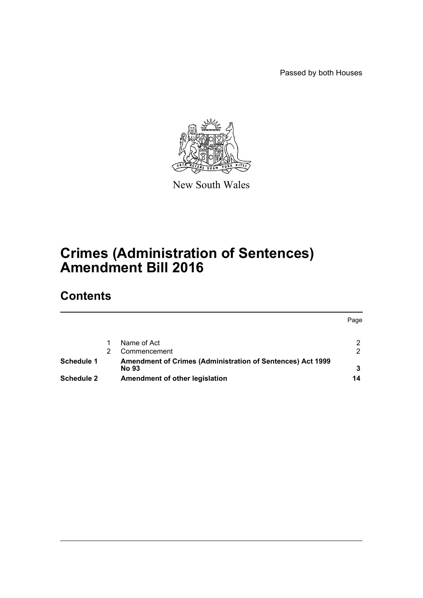Passed by both Houses



New South Wales

# **Crimes (Administration of Sentences) Amendment Bill 2016**

# **Contents**

|                   |                                                                                   | Page |
|-------------------|-----------------------------------------------------------------------------------|------|
|                   | Name of Act                                                                       |      |
|                   | Commencement                                                                      | 2    |
| Schedule 1        | <b>Amendment of Crimes (Administration of Sentences) Act 1999</b><br><b>No 93</b> | 3    |
| <b>Schedule 2</b> | Amendment of other legislation                                                    | 14   |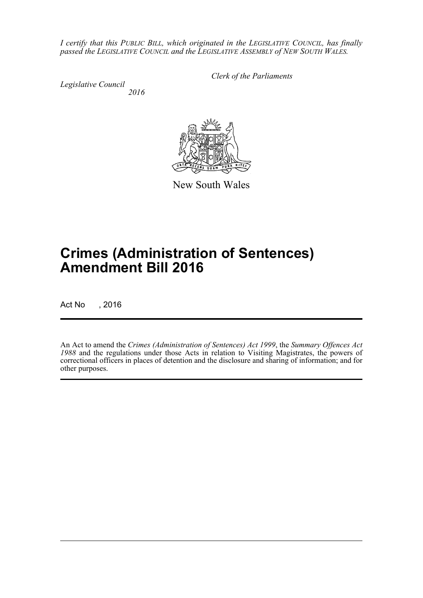*I certify that this PUBLIC BILL, which originated in the LEGISLATIVE COUNCIL, has finally passed the LEGISLATIVE COUNCIL and the LEGISLATIVE ASSEMBLY of NEW SOUTH WALES.*

*Legislative Council 2016* *Clerk of the Parliaments*



New South Wales

# **Crimes (Administration of Sentences) Amendment Bill 2016**

Act No , 2016

An Act to amend the *Crimes (Administration of Sentences) Act 1999*, the *Summary Offences Act 1988* and the regulations under those Acts in relation to Visiting Magistrates, the powers of correctional officers in places of detention and the disclosure and sharing of information; and for other purposes.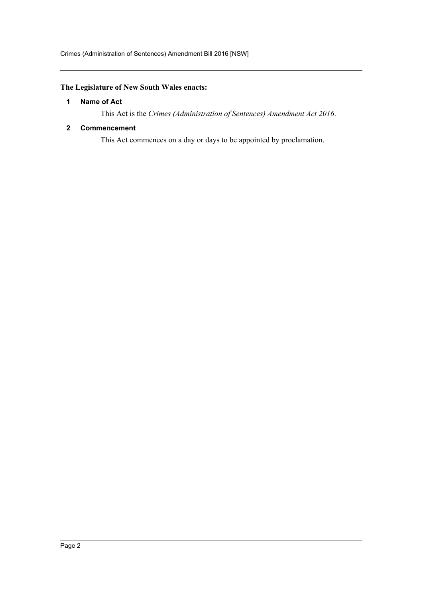## <span id="page-2-0"></span>**The Legislature of New South Wales enacts:**

#### **1 Name of Act**

This Act is the *Crimes (Administration of Sentences) Amendment Act 2016*.

#### <span id="page-2-1"></span>**2 Commencement**

This Act commences on a day or days to be appointed by proclamation.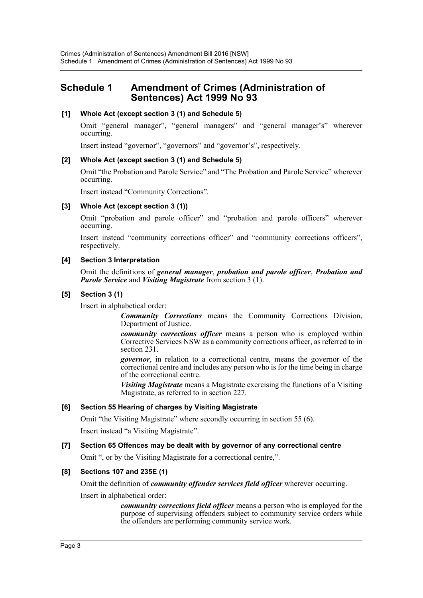# <span id="page-3-0"></span>**Schedule 1 Amendment of Crimes (Administration of Sentences) Act 1999 No 93**

#### **[1] Whole Act (except section 3 (1) and Schedule 5)**

Omit "general manager", "general managers" and "general manager's" wherever occurring.

Insert instead "governor", "governors" and "governor's", respectively.

#### **[2] Whole Act (except section 3 (1) and Schedule 5)**

Omit "the Probation and Parole Service" and "The Probation and Parole Service" wherever occurring.

Insert instead "Community Corrections".

#### **[3] Whole Act (except section 3 (1))**

Omit "probation and parole officer" and "probation and parole officers" wherever occurring.

Insert instead "community corrections officer" and "community corrections officers", respectively.

#### **[4] Section 3 Interpretation**

Omit the definitions of *general manager*, *probation and parole officer*, *Probation and Parole Service* and *Visiting Magistrate* from section 3 (1).

#### **[5] Section 3 (1)**

Insert in alphabetical order:

*Community Corrections* means the Community Corrections Division, Department of Justice.

*community corrections officer* means a person who is employed within Corrective Services NSW as a community corrections officer, as referred to in section 231.

*governor*, in relation to a correctional centre, means the governor of the correctional centre and includes any person who is for the time being in charge of the correctional centre.

*Visiting Magistrate* means a Magistrate exercising the functions of a Visiting Magistrate, as referred to in section 227.

#### **[6] Section 55 Hearing of charges by Visiting Magistrate**

Omit "the Visiting Magistrate" where secondly occurring in section 55 (6).

Insert instead "a Visiting Magistrate".

#### **[7] Section 65 Offences may be dealt with by governor of any correctional centre**

Omit ", or by the Visiting Magistrate for a correctional centre,".

#### **[8] Sections 107 and 235E (1)**

Omit the definition of *community offender services field officer* wherever occurring.

#### Insert in alphabetical order:

*community corrections field officer* means a person who is employed for the purpose of supervising offenders subject to community service orders while the offenders are performing community service work.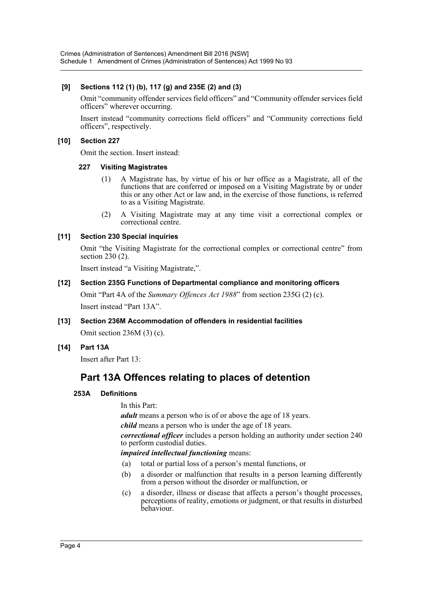#### **[9] Sections 112 (1) (b), 117 (g) and 235E (2) and (3)**

Omit "community offender services field officers" and "Community offender services field officers" wherever occurring.

Insert instead "community corrections field officers" and "Community corrections field officers", respectively.

#### **[10] Section 227**

Omit the section. Insert instead:

#### **227 Visiting Magistrates**

- (1) A Magistrate has, by virtue of his or her office as a Magistrate, all of the functions that are conferred or imposed on a Visiting Magistrate by or under this or any other Act or law and, in the exercise of those functions, is referred to as a Visiting Magistrate.
- (2) A Visiting Magistrate may at any time visit a correctional complex or correctional centre.

#### **[11] Section 230 Special inquiries**

Omit "the Visiting Magistrate for the correctional complex or correctional centre" from section 230 (2).

Insert instead "a Visiting Magistrate,".

#### **[12] Section 235G Functions of Departmental compliance and monitoring officers**

Omit "Part 4A of the *Summary Offences Act 1988*" from section 235G (2) (c). Insert instead "Part 13A".

- **[13] Section 236M Accommodation of offenders in residential facilities** Omit section 236M (3) (c).
- **[14] Part 13A**

Insert after Part 13:

# **Part 13A Offences relating to places of detention**

#### **253A Definitions**

In this Part:

*adult* means a person who is of or above the age of 18 years.

*child* means a person who is under the age of 18 years.

*correctional officer* includes a person holding an authority under section 240 to perform custodial duties.

#### *impaired intellectual functioning* means:

- (a) total or partial loss of a person's mental functions, or
- (b) a disorder or malfunction that results in a person learning differently from a person without the disorder or malfunction, or
- (c) a disorder, illness or disease that affects a person's thought processes, perceptions of reality, emotions or judgment, or that results in disturbed behaviour.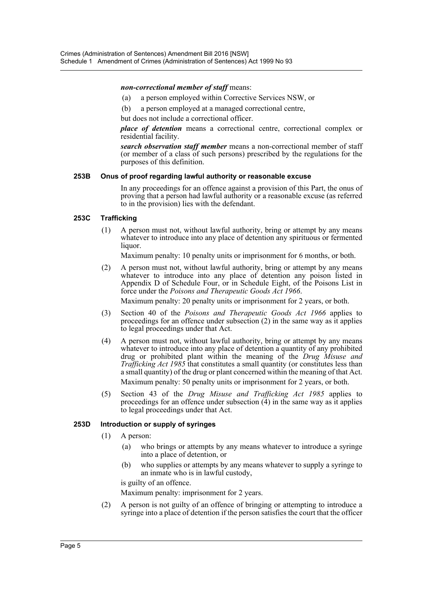#### *non-correctional member of staff* means:

- (a) a person employed within Corrective Services NSW, or
- (b) a person employed at a managed correctional centre,

but does not include a correctional officer.

*place of detention* means a correctional centre, correctional complex or residential facility.

*search observation staff member* means a non-correctional member of staff (or member of a class of such persons) prescribed by the regulations for the purposes of this definition.

#### **253B Onus of proof regarding lawful authority or reasonable excuse**

In any proceedings for an offence against a provision of this Part, the onus of proving that a person had lawful authority or a reasonable excuse (as referred to in the provision) lies with the defendant.

#### **253C Trafficking**

(1) A person must not, without lawful authority, bring or attempt by any means whatever to introduce into any place of detention any spirituous or fermented liquor.

Maximum penalty: 10 penalty units or imprisonment for 6 months, or both.

(2) A person must not, without lawful authority, bring or attempt by any means whatever to introduce into any place of detention any poison listed in Appendix D of Schedule Four, or in Schedule Eight, of the Poisons List in force under the *Poisons and Therapeutic Goods Act 1966*.

Maximum penalty: 20 penalty units or imprisonment for 2 years, or both.

- (3) Section 40 of the *Poisons and Therapeutic Goods Act 1966* applies to proceedings for an offence under subsection (2) in the same way as it applies to legal proceedings under that Act.
- (4) A person must not, without lawful authority, bring or attempt by any means whatever to introduce into any place of detention a quantity of any prohibited drug or prohibited plant within the meaning of the *Drug Misuse and Trafficking Act 1985* that constitutes a small quantity (or constitutes less than a small quantity) of the drug or plant concerned within the meaning of that Act. Maximum penalty: 50 penalty units or imprisonment for 2 years, or both.
- (5) Section 43 of the *Drug Misuse and Trafficking Act 1985* applies to proceedings for an offence under subsection  $(4)$  in the same way as it applies to legal proceedings under that Act.

#### **253D Introduction or supply of syringes**

- (1) A person:
	- (a) who brings or attempts by any means whatever to introduce a syringe into a place of detention, or
	- (b) who supplies or attempts by any means whatever to supply a syringe to an inmate who is in lawful custody,

is guilty of an offence.

Maximum penalty: imprisonment for 2 years.

(2) A person is not guilty of an offence of bringing or attempting to introduce a syringe into a place of detention if the person satisfies the court that the officer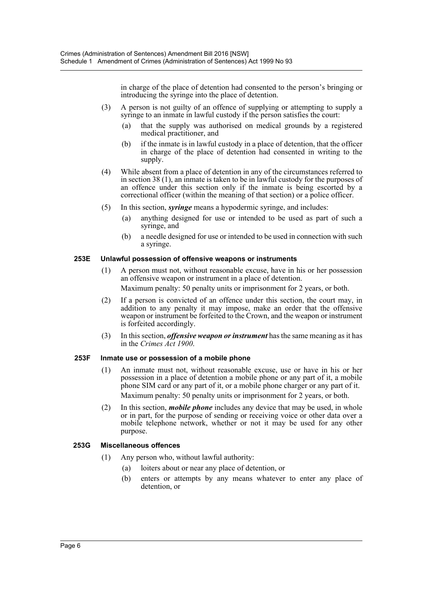in charge of the place of detention had consented to the person's bringing or introducing the syringe into the place of detention.

- (3) A person is not guilty of an offence of supplying or attempting to supply a syringe to an inmate in lawful custody if the person satisfies the court:
	- (a) that the supply was authorised on medical grounds by a registered medical practitioner, and
	- (b) if the inmate is in lawful custody in a place of detention, that the officer in charge of the place of detention had consented in writing to the supply.
- (4) While absent from a place of detention in any of the circumstances referred to in section 38 (1), an inmate is taken to be in lawful custody for the purposes of an offence under this section only if the inmate is being escorted by a correctional officer (within the meaning of that section) or a police officer.
- (5) In this section, *syringe* means a hypodermic syringe, and includes:
	- (a) anything designed for use or intended to be used as part of such a syringe, and
	- (b) a needle designed for use or intended to be used in connection with such a syringe.

#### **253E Unlawful possession of offensive weapons or instruments**

- (1) A person must not, without reasonable excuse, have in his or her possession an offensive weapon or instrument in a place of detention. Maximum penalty: 50 penalty units or imprisonment for 2 years, or both.
- (2) If a person is convicted of an offence under this section, the court may, in addition to any penalty it may impose, make an order that the offensive weapon or instrument be forfeited to the Crown, and the weapon or instrument is forfeited accordingly.
- (3) In this section, *offensive weapon or instrument* has the same meaning as it has in the *Crimes Act 1900*.

#### **253F Inmate use or possession of a mobile phone**

- (1) An inmate must not, without reasonable excuse, use or have in his or her possession in a place of detention a mobile phone or any part of it, a mobile phone SIM card or any part of it, or a mobile phone charger or any part of it. Maximum penalty: 50 penalty units or imprisonment for 2 years, or both.
- (2) In this section, *mobile phone* includes any device that may be used, in whole or in part, for the purpose of sending or receiving voice or other data over a mobile telephone network, whether or not it may be used for any other purpose.

#### **253G Miscellaneous offences**

- (1) Any person who, without lawful authority:
	- (a) loiters about or near any place of detention, or
	- (b) enters or attempts by any means whatever to enter any place of detention, or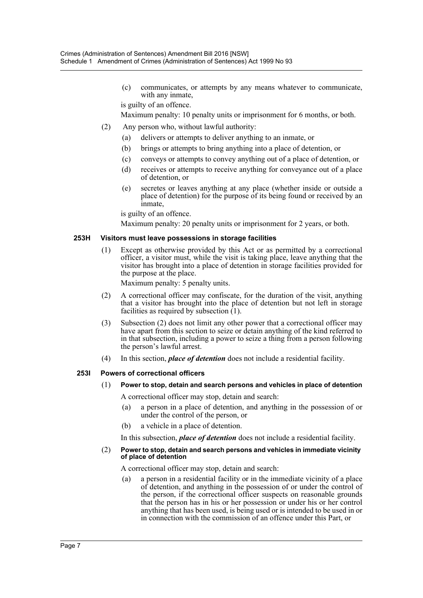(c) communicates, or attempts by any means whatever to communicate, with any inmate,

is guilty of an offence.

Maximum penalty: 10 penalty units or imprisonment for 6 months, or both.

- (2) Any person who, without lawful authority:
	- (a) delivers or attempts to deliver anything to an inmate, or
	- (b) brings or attempts to bring anything into a place of detention, or
	- (c) conveys or attempts to convey anything out of a place of detention, or
	- (d) receives or attempts to receive anything for conveyance out of a place of detention, or
	- (e) secretes or leaves anything at any place (whether inside or outside a place of detention) for the purpose of its being found or received by an inmate,

is guilty of an offence.

Maximum penalty: 20 penalty units or imprisonment for 2 years, or both.

#### **253H Visitors must leave possessions in storage facilities**

(1) Except as otherwise provided by this Act or as permitted by a correctional officer, a visitor must, while the visit is taking place, leave anything that the visitor has brought into a place of detention in storage facilities provided for the purpose at the place.

Maximum penalty: 5 penalty units.

- (2) A correctional officer may confiscate, for the duration of the visit, anything that a visitor has brought into the place of detention but not left in storage facilities as required by subsection  $(1)$ .
- (3) Subsection (2) does not limit any other power that a correctional officer may have apart from this section to seize or detain anything of the kind referred to in that subsection, including a power to seize a thing from a person following the person's lawful arrest.
- (4) In this section, *place of detention* does not include a residential facility.

#### **253I Powers of correctional officers**

(1) **Power to stop, detain and search persons and vehicles in place of detention**

A correctional officer may stop, detain and search:

- (a) a person in a place of detention, and anything in the possession of or under the control of the person, or
- (b) a vehicle in a place of detention.

In this subsection, *place of detention* does not include a residential facility.

#### (2) **Power to stop, detain and search persons and vehicles in immediate vicinity of place of detention**

A correctional officer may stop, detain and search:

(a) a person in a residential facility or in the immediate vicinity of a place of detention, and anything in the possession of or under the control of the person, if the correctional officer suspects on reasonable grounds that the person has in his or her possession or under his or her control anything that has been used, is being used or is intended to be used in or in connection with the commission of an offence under this Part, or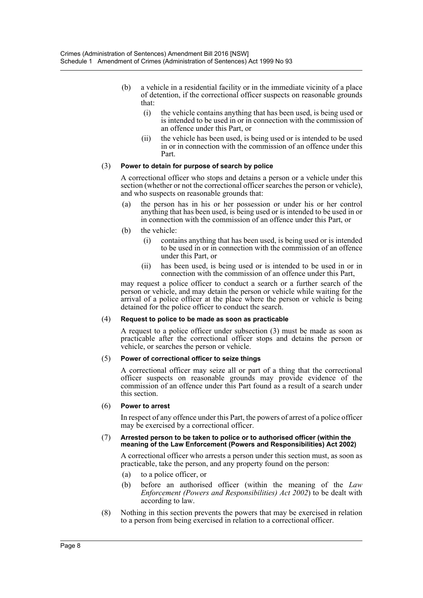- (b) a vehicle in a residential facility or in the immediate vicinity of a place of detention, if the correctional officer suspects on reasonable grounds that:
	- (i) the vehicle contains anything that has been used, is being used or is intended to be used in or in connection with the commission of an offence under this Part, or
	- (ii) the vehicle has been used, is being used or is intended to be used in or in connection with the commission of an offence under this Part.

#### (3) **Power to detain for purpose of search by police**

A correctional officer who stops and detains a person or a vehicle under this section (whether or not the correctional officer searches the person or vehicle), and who suspects on reasonable grounds that:

- (a) the person has in his or her possession or under his or her control anything that has been used, is being used or is intended to be used in or in connection with the commission of an offence under this Part, or
- (b) the vehicle:
	- (i) contains anything that has been used, is being used or is intended to be used in or in connection with the commission of an offence under this Part, or
	- (ii) has been used, is being used or is intended to be used in or in connection with the commission of an offence under this Part,

may request a police officer to conduct a search or a further search of the person or vehicle, and may detain the person or vehicle while waiting for the arrival of a police officer at the place where the person or vehicle is being detained for the police officer to conduct the search.

#### (4) **Request to police to be made as soon as practicable**

A request to a police officer under subsection (3) must be made as soon as practicable after the correctional officer stops and detains the person or vehicle, or searches the person or vehicle.

#### (5) **Power of correctional officer to seize things**

A correctional officer may seize all or part of a thing that the correctional officer suspects on reasonable grounds may provide evidence of the commission of an offence under this Part found as a result of a search under this section.

#### (6) **Power to arrest**

In respect of any offence under this Part, the powers of arrest of a police officer may be exercised by a correctional officer.

#### (7) **Arrested person to be taken to police or to authorised officer (within the meaning of the Law Enforcement (Powers and Responsibilities) Act 2002)**

A correctional officer who arrests a person under this section must, as soon as practicable, take the person, and any property found on the person:

- (a) to a police officer, or
- (b) before an authorised officer (within the meaning of the *Law Enforcement (Powers and Responsibilities) Act 2002*) to be dealt with according to law.
- (8) Nothing in this section prevents the powers that may be exercised in relation to a person from being exercised in relation to a correctional officer.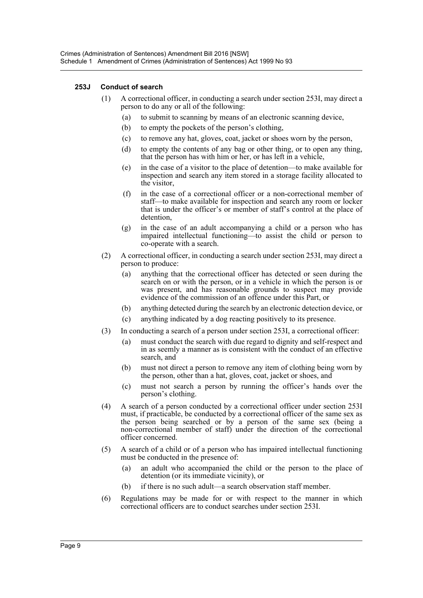#### **253J Conduct of search**

- (1) A correctional officer, in conducting a search under section 253I, may direct a person to do any or all of the following:
	- (a) to submit to scanning by means of an electronic scanning device,
	- (b) to empty the pockets of the person's clothing,
	- (c) to remove any hat, gloves, coat, jacket or shoes worn by the person,
	- (d) to empty the contents of any bag or other thing, or to open any thing, that the person has with him or her, or has left in a vehicle,
	- (e) in the case of a visitor to the place of detention—to make available for inspection and search any item stored in a storage facility allocated to the visitor,
	- (f) in the case of a correctional officer or a non-correctional member of staff—to make available for inspection and search any room or locker that is under the officer's or member of staff's control at the place of detention,
	- (g) in the case of an adult accompanying a child or a person who has impaired intellectual functioning—to assist the child or person to co-operate with a search.
- (2) A correctional officer, in conducting a search under section 253I, may direct a person to produce:
	- (a) anything that the correctional officer has detected or seen during the search on or with the person, or in a vehicle in which the person is or was present, and has reasonable grounds to suspect may provide evidence of the commission of an offence under this Part, or
	- (b) anything detected during the search by an electronic detection device, or
	- (c) anything indicated by a dog reacting positively to its presence.
- (3) In conducting a search of a person under section 253I, a correctional officer:
	- (a) must conduct the search with due regard to dignity and self-respect and in as seemly a manner as is consistent with the conduct of an effective search and
	- (b) must not direct a person to remove any item of clothing being worn by the person, other than a hat, gloves, coat, jacket or shoes, and
	- (c) must not search a person by running the officer's hands over the person's clothing.
- (4) A search of a person conducted by a correctional officer under section 253I must, if practicable, be conducted by a correctional officer of the same sex as the person being searched or by a person of the same sex (being a non-correctional member of staff) under the direction of the correctional officer concerned.
- (5) A search of a child or of a person who has impaired intellectual functioning must be conducted in the presence of:
	- (a) an adult who accompanied the child or the person to the place of detention (or its immediate vicinity), or
	- (b) if there is no such adult—a search observation staff member.
- (6) Regulations may be made for or with respect to the manner in which correctional officers are to conduct searches under section 253I.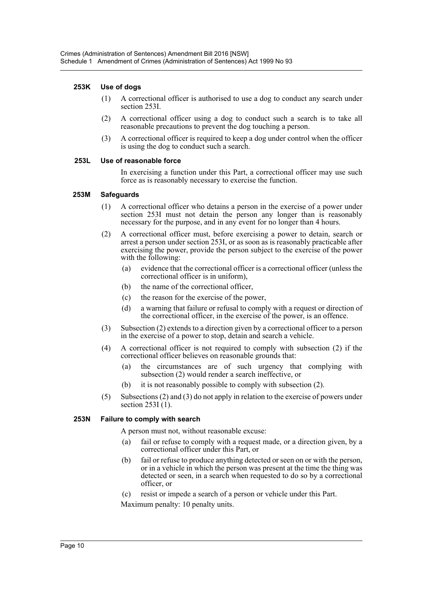#### **253K Use of dogs**

- (1) A correctional officer is authorised to use a dog to conduct any search under section 253I.
- (2) A correctional officer using a dog to conduct such a search is to take all reasonable precautions to prevent the dog touching a person.
- (3) A correctional officer is required to keep a dog under control when the officer is using the dog to conduct such a search.

#### **253L Use of reasonable force**

In exercising a function under this Part, a correctional officer may use such force as is reasonably necessary to exercise the function.

#### **253M Safeguards**

- (1) A correctional officer who detains a person in the exercise of a power under section 253I must not detain the person any longer than is reasonably necessary for the purpose, and in any event for no longer than 4 hours.
- (2) A correctional officer must, before exercising a power to detain, search or arrest a person under section 253I, or as soon as is reasonably practicable after exercising the power, provide the person subject to the exercise of the power with the following:
	- (a) evidence that the correctional officer is a correctional officer (unless the correctional officer is in uniform),
	- (b) the name of the correctional officer,
	- (c) the reason for the exercise of the power,
	- (d) a warning that failure or refusal to comply with a request or direction of the correctional officer, in the exercise of the power, is an offence.
- (3) Subsection (2) extends to a direction given by a correctional officer to a person in the exercise of a power to stop, detain and search a vehicle.
- (4) A correctional officer is not required to comply with subsection (2) if the correctional officer believes on reasonable grounds that:
	- (a) the circumstances are of such urgency that complying with subsection (2) would render a search ineffective, or
	- (b) it is not reasonably possible to comply with subsection (2).
- (5) Subsections (2) and (3) do not apply in relation to the exercise of powers under section 253I (1).

#### **253N Failure to comply with search**

A person must not, without reasonable excuse:

- (a) fail or refuse to comply with a request made, or a direction given, by a correctional officer under this Part, or
- (b) fail or refuse to produce anything detected or seen on or with the person, or in a vehicle in which the person was present at the time the thing was detected or seen, in a search when requested to do so by a correctional officer, or
- (c) resist or impede a search of a person or vehicle under this Part.

Maximum penalty: 10 penalty units.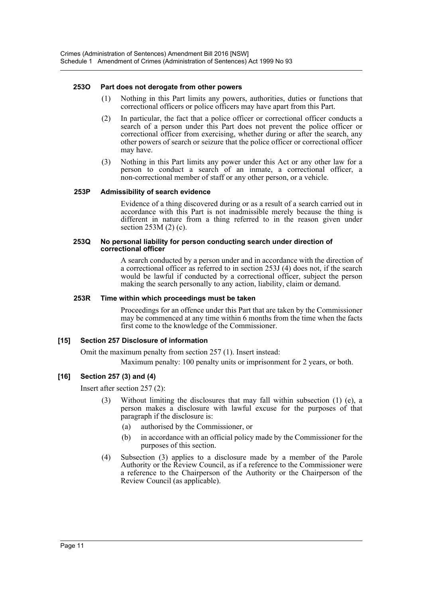#### **253O Part does not derogate from other powers**

- (1) Nothing in this Part limits any powers, authorities, duties or functions that correctional officers or police officers may have apart from this Part.
- (2) In particular, the fact that a police officer or correctional officer conducts a search of a person under this Part does not prevent the police officer or correctional officer from exercising, whether during or after the search, any other powers of search or seizure that the police officer or correctional officer may have.
- (3) Nothing in this Part limits any power under this Act or any other law for a person to conduct a search of an inmate, a correctional officer, a non-correctional member of staff or any other person, or a vehicle.

#### **253P Admissibility of search evidence**

Evidence of a thing discovered during or as a result of a search carried out in accordance with this Part is not inadmissible merely because the thing is different in nature from a thing referred to in the reason given under section 253M (2) (c).

#### **253Q No personal liability for person conducting search under direction of correctional officer**

A search conducted by a person under and in accordance with the direction of a correctional officer as referred to in section 253J (4) does not, if the search would be lawful if conducted by a correctional officer, subject the person making the search personally to any action, liability, claim or demand.

#### **253R Time within which proceedings must be taken**

Proceedings for an offence under this Part that are taken by the Commissioner may be commenced at any time within 6 months from the time when the facts first come to the knowledge of the Commissioner.

#### **[15] Section 257 Disclosure of information**

Omit the maximum penalty from section 257 (1). Insert instead:

Maximum penalty: 100 penalty units or imprisonment for 2 years, or both.

#### **[16] Section 257 (3) and (4)**

Insert after section 257 (2):

- (3) Without limiting the disclosures that may fall within subsection (1) (e), a person makes a disclosure with lawful excuse for the purposes of that paragraph if the disclosure is:
	- (a) authorised by the Commissioner, or
	- (b) in accordance with an official policy made by the Commissioner for the purposes of this section.
- (4) Subsection (3) applies to a disclosure made by a member of the Parole Authority or the Review Council, as if a reference to the Commissioner were a reference to the Chairperson of the Authority or the Chairperson of the Review Council (as applicable).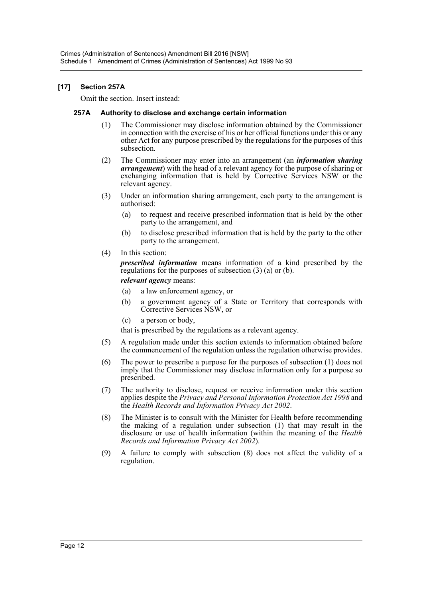#### **[17] Section 257A**

Omit the section. Insert instead:

#### **257A Authority to disclose and exchange certain information**

- (1) The Commissioner may disclose information obtained by the Commissioner in connection with the exercise of his or her official functions under this or any other Act for any purpose prescribed by the regulations for the purposes of this subsection.
- (2) The Commissioner may enter into an arrangement (an *information sharing arrangement*) with the head of a relevant agency for the purpose of sharing or exchanging information that is held by Corrective Services NSW or the relevant agency.
- (3) Under an information sharing arrangement, each party to the arrangement is authorised:
	- (a) to request and receive prescribed information that is held by the other party to the arrangement, and
	- (b) to disclose prescribed information that is held by the party to the other party to the arrangement.
- (4) In this section:

*prescribed information* means information of a kind prescribed by the regulations for the purposes of subsection (3) (a) or (b). *relevant agency* means:

- (a) a law enforcement agency, or
- (b) a government agency of a State or Territory that corresponds with Corrective Services NSW, or
- (c) a person or body,

that is prescribed by the regulations as a relevant agency.

- (5) A regulation made under this section extends to information obtained before the commencement of the regulation unless the regulation otherwise provides.
- (6) The power to prescribe a purpose for the purposes of subsection (1) does not imply that the Commissioner may disclose information only for a purpose so prescribed.
- (7) The authority to disclose, request or receive information under this section applies despite the *Privacy and Personal Information Protection Act 1998* and the *Health Records and Information Privacy Act 2002*.
- (8) The Minister is to consult with the Minister for Health before recommending the making of a regulation under subsection (1) that may result in the disclosure or use of health information (within the meaning of the *Health Records and Information Privacy Act 2002*).
- (9) A failure to comply with subsection (8) does not affect the validity of a regulation.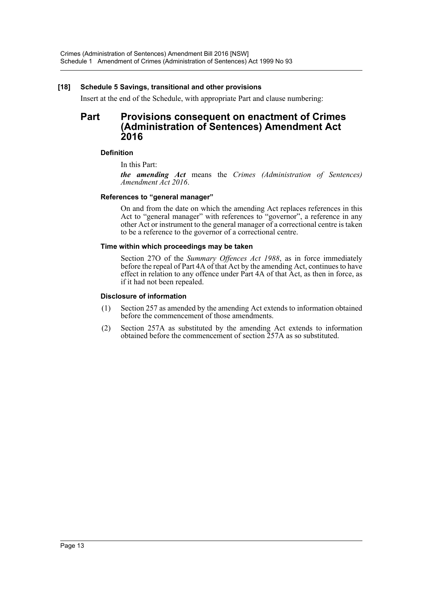#### **[18] Schedule 5 Savings, transitional and other provisions**

Insert at the end of the Schedule, with appropriate Part and clause numbering:

# **Part Provisions consequent on enactment of Crimes (Administration of Sentences) Amendment Act 2016**

#### **Definition**

In this Part:

*the amending Act* means the *Crimes (Administration of Sentences) Amendment Act 2016*.

#### **References to "general manager"**

On and from the date on which the amending Act replaces references in this Act to "general manager" with references to "governor", a reference in any other Act or instrument to the general manager of a correctional centre is taken to be a reference to the governor of a correctional centre.

#### **Time within which proceedings may be taken**

Section 27O of the *Summary Offences Act 1988*, as in force immediately before the repeal of Part 4A of that Act by the amending Act, continues to have effect in relation to any offence under Part 4A of that Act, as then in force, as if it had not been repealed.

#### **Disclosure of information**

- (1) Section 257 as amended by the amending Act extends to information obtained before the commencement of those amendments.
- (2) Section 257A as substituted by the amending Act extends to information obtained before the commencement of section 257A as so substituted.